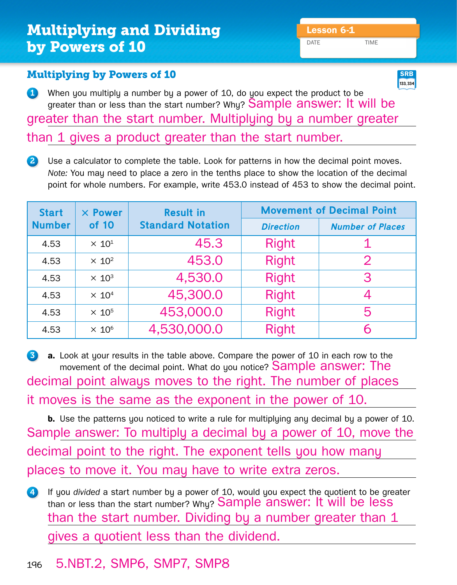# **Multiplying and Dividing The Lesson 6-1** by Powers of 10

DATE TIME

#### Multiplying by Powers of 10

1 When you multiply a number by a power of 10, do you expect the product to be greater than or less than the start number? Why? Sample answer: It will be greater than the start number. Multiplying by a number greater

than 1 gives a product greater than the start number.

2 Use a calculator to complete the table. Look for patterns in how the decimal point moves. *Note:* You may need to place a zero in the tenths place to show the location of the decimal point for whole numbers. For example, write 453.0 instead of 453 to show the decimal point.

| <b>Start</b><br><b>Number</b> | $\times$ Power<br>of 10 | <b>Result in</b><br><b>Standard Notation</b> | <b>Movement of Decimal Point</b> |                         |
|-------------------------------|-------------------------|----------------------------------------------|----------------------------------|-------------------------|
|                               |                         |                                              | <b>Direction</b>                 | <b>Number of Places</b> |
| 4.53                          | $\times 10^1$           | 45.3                                         | <b>Right</b>                     |                         |
| 4.53                          | $\times 10^2$           | 453.0                                        | <b>Right</b>                     | $\mathcal{P}$           |
| 4.53                          | $\times 10^3$           | 4,530.0                                      | <b>Right</b>                     | 3                       |
| 4.53                          | $\times 10^4$           | 45,300.0                                     | <b>Right</b>                     |                         |
| 4.53                          | $\times 10^5$           | 453,000.0                                    | <b>Right</b>                     | 5                       |
| 4.53                          | $\times 10^6$           | 4,530,000.0                                  | <b>Right</b>                     |                         |

3 **a.** Look at your results in the table above. Compare the power of 10 in each row to the movement of the decimal point. What do you notice? **Sample answer: The** decimal point always moves to the right. The number of places it moves is the same as the exponent in the power of 10.

**b.** Use the patterns you noticed to write a rule for multiplying any decimal by a power of 10. Sample answer: To multiply a decimal by a power of 10, move the decimal point to the right. The exponent tells you how many places to move it. You may have to write extra zeros.

4 If you *divided* a start number by a power of 10, would you expect the quotient to be greater than or less than the start number? Why? Sample answer: It will be less than the start number. Dividing by a number greater than 1 gives a quotient less than the dividend.

### <sup>196</sup> 5.NBT.2, SMP6, SMP7, SMP8

**133, 334 SRB**